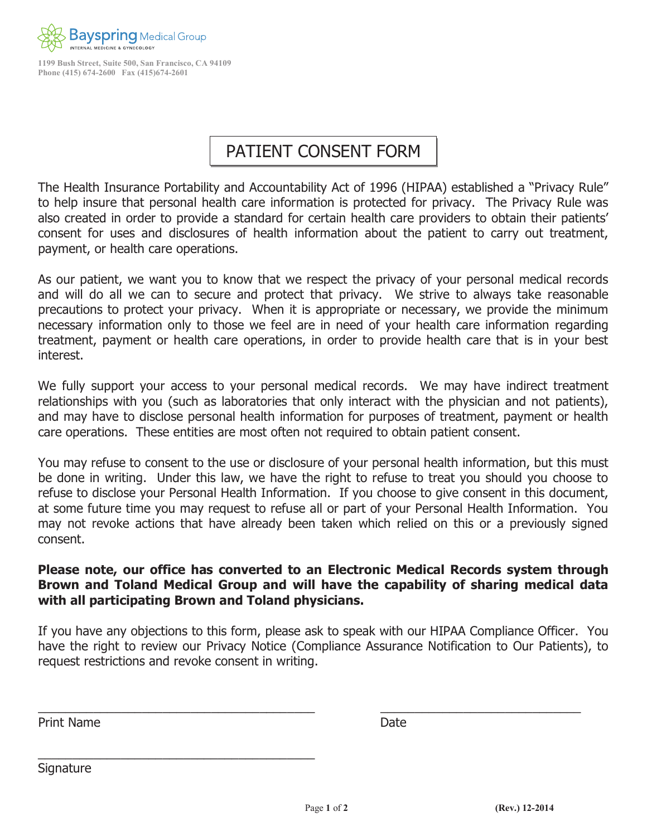

**1199 Bush Street, Suite 500, San [Francisco, CA](http://www.bayspringmedical.com/) 94109 Phone (415) 674-2600 Fax (415)674-2601**

## PATIENT CONSENT FORM

The Health Insurance Portability and Accountability Act of 1996 (HIPAA) established a "Privacy Rule" to help insure that personal health care information is protected for privacy. The Privacy Rule was also created in order to provide a standard for certain health care providers to obtain their patients' consent for uses and disclosures of health information about the patient to carry out treatment, payment, or health care operations.

As our patient, we want you to know that we respect the privacy of your personal medical records and will do all we can to secure and protect that privacy. We strive to always take reasonable precautions to protect your privacy. When it is appropriate or necessary, we provide the minimum necessary information only to those we feel are in need of your health care information regarding treatment, payment or health care operations, in order to provide health care that is in your best interest.

We fully support your access to your personal medical records. We may have indirect treatment relationships with you (such as laboratories that only interact with the physician and not patients), and may have to disclose personal health information for purposes of treatment, payment or health care operations. These entities are most often not required to obtain patient consent.

You may refuse to consent to the use or disclosure of your personal health information, but this must be done in writing. Under this law, we have the right to refuse to treat you should you choose to refuse to disclose your Personal Health Information. If you choose to give consent in this document, at some future time you may request to refuse all or part of your Personal Health Information. You may not revoke actions that have already been taken which relied on this or a previously signed consent.

## **Please note, our office has converted to an Electronic Medical Records system through Brown and Toland Medical Group and will have the capability of sharing medical data with all participating Brown and Toland physicians.**

If you have any objections to this form, please ask to speak with our HIPAA Compliance Officer. You have the right to review our Privacy Notice (Compliance Assurance Notification to Our Patients), to request restrictions and revoke consent in writing.

 $\overline{a}$  , and the contribution of the contribution of the contribution of the contribution of the contribution of the contribution of the contribution of the contribution of the contribution of the contribution of the co

Print NameDate

 $\_$  . The contribution of the contribution of  $\mathcal{L}_\mathcal{A}$ 

**Signature**